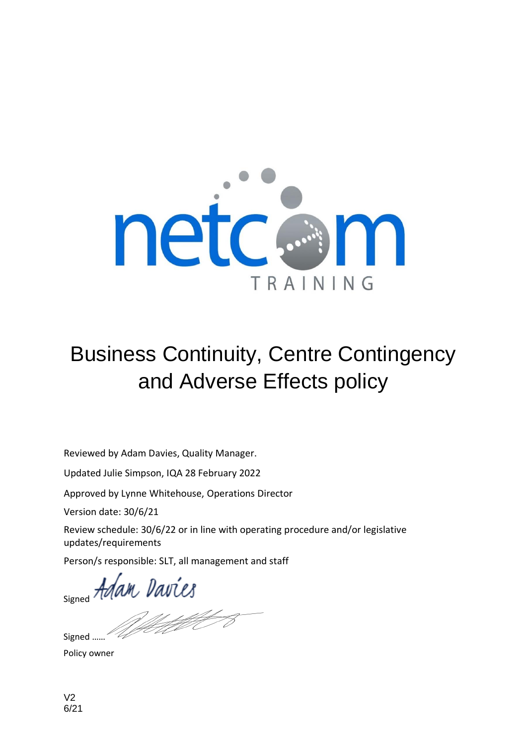

# Business Continuity, Centre Contingency and Adverse Effects policy

Reviewed by Adam Davies, Quality Manager.

Updated Julie Simpson, IQA 28 February 2022

Approved by Lynne Whitehouse, Operations Director

Version date: 30/6/21

Review schedule: 30/6/22 or in line with operating procedure and/or legislative updates/requirements

Person/s responsible: SLT, all management and staff

signed Adam Davies

Signed ...

Policy owner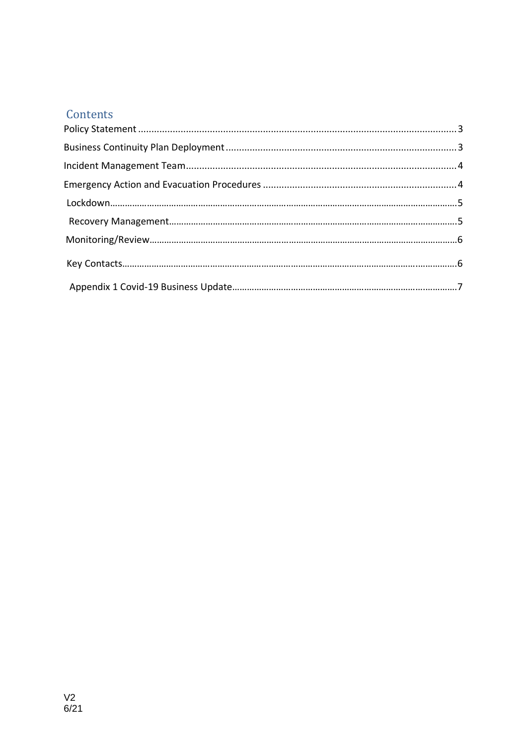# Contents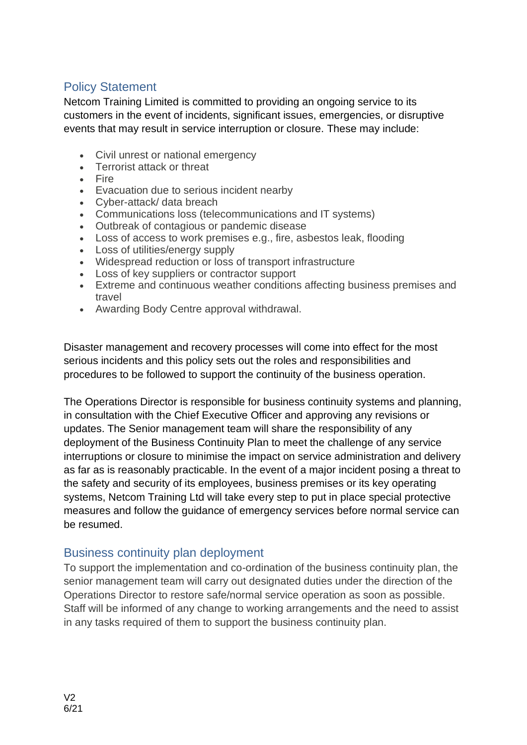## Policy Statement

Netcom Training Limited is committed to providing an ongoing service to its customers in the event of incidents, significant issues, emergencies, or disruptive events that may result in service interruption or closure. These may include:

- Civil unrest or national emergency
- Terrorist attack or threat
- Fire
- Evacuation due to serious incident nearby
- Cyber-attack/ data breach
- Communications loss (telecommunications and IT systems)
- Outbreak of contagious or pandemic disease
- Loss of access to work premises e.g., fire, asbestos leak, flooding
- Loss of utilities/energy supply
- Widespread reduction or loss of transport infrastructure
- Loss of key suppliers or contractor support
- Extreme and continuous weather conditions affecting business premises and travel
- Awarding Body Centre approval withdrawal.

Disaster management and recovery processes will come into effect for the most serious incidents and this policy sets out the roles and responsibilities and procedures to be followed to support the continuity of the business operation.

The Operations Director is responsible for business continuity systems and planning, in consultation with the Chief Executive Officer and approving any revisions or updates. The Senior management team will share the responsibility of any deployment of the Business Continuity Plan to meet the challenge of any service interruptions or closure to minimise the impact on service administration and delivery as far as is reasonably practicable. In the event of a major incident posing a threat to the safety and security of its employees, business premises or its key operating systems, Netcom Training Ltd will take every step to put in place special protective measures and follow the guidance of emergency services before normal service can be resumed.

## Business continuity plan deployment

To support the implementation and co-ordination of the business continuity plan, the senior management team will carry out designated duties under the direction of the Operations Director to restore safe/normal service operation as soon as possible. Staff will be informed of any change to working arrangements and the need to assist in any tasks required of them to support the business continuity plan.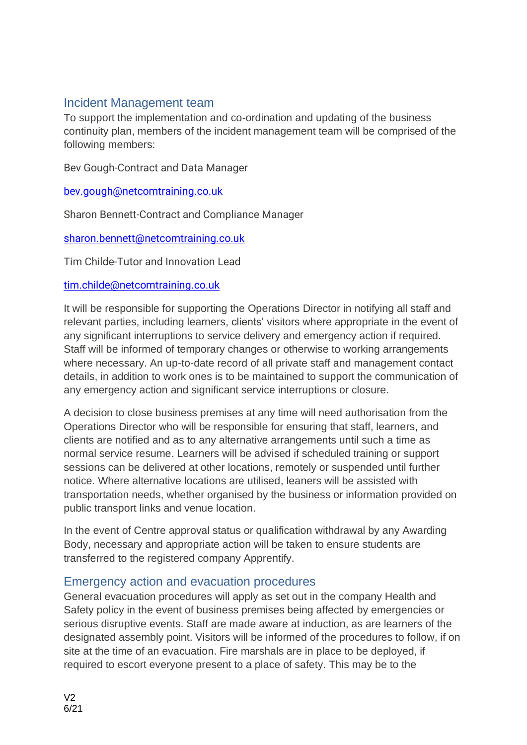## Incident Management team

To support the implementation and co-ordination and updating of the business continuity plan, members of the incident management team will be comprised of the following members:

Bev Gough-Contract and Data Manager

[bev.gough@netcomtraining.co.uk](mailto:bev.gough@netcomtraining.co.uk)

Sharon Bennett-Contract and Compliance Manager

[sharon.bennett@netcomtraining.co.uk](mailto:sharon.bennett@netcomtraining.co.uk)

Tim Childe-Tutor and Innovation Lead

### [tim.childe@netcomtraining.co.uk](mailto:tim.childe@netcomtraining.co.uk)

It will be responsible for supporting the Operations Director in notifying all staff and relevant parties, including learners, clients' visitors where appropriate in the event of any significant interruptions to service delivery and emergency action if required. Staff will be informed of temporary changes or otherwise to working arrangements where necessary. An up-to-date record of all private staff and management contact details, in addition to work ones is to be maintained to support the communication of any emergency action and significant service interruptions or closure.

A decision to close business premises at any time will need authorisation from the Operations Director who will be responsible for ensuring that staff, learners, and clients are notified and as to any alternative arrangements until such a time as normal service resume. Learners will be advised if scheduled training or support sessions can be delivered at other locations, remotely or suspended until further notice. Where alternative locations are utilised, leaners will be assisted with transportation needs, whether organised by the business or information provided on public transport links and venue location.

In the event of Centre approval status or qualification withdrawal by any Awarding Body, necessary and appropriate action will be taken to ensure students are transferred to the registered company Apprentify.

## Emergency action and evacuation procedures

General evacuation procedures will apply as set out in the company Health and Safety policy in the event of business premises being affected by emergencies or serious disruptive events. Staff are made aware at induction, as are learners of the designated assembly point. Visitors will be informed of the procedures to follow, if on site at the time of an evacuation. Fire marshals are in place to be deployed, if required to escort everyone present to a place of safety. This may be to the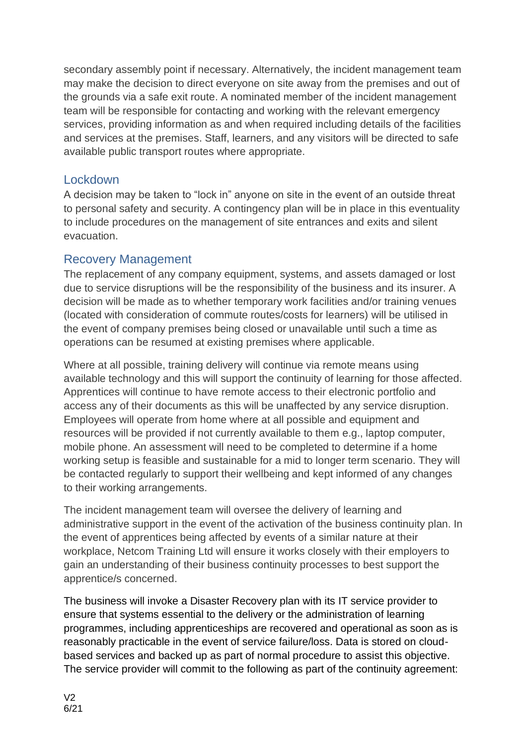secondary assembly point if necessary. Alternatively, the incident management team may make the decision to direct everyone on site away from the premises and out of the grounds via a safe exit route. A nominated member of the incident management team will be responsible for contacting and working with the relevant emergency services, providing information as and when required including details of the facilities and services at the premises. Staff, learners, and any visitors will be directed to safe available public transport routes where appropriate.

## Lockdown

A decision may be taken to "lock in" anyone on site in the event of an outside threat to personal safety and security. A contingency plan will be in place in this eventuality to include procedures on the management of site entrances and exits and silent evacuation.

## Recovery Management

The replacement of any company equipment, systems, and assets damaged or lost due to service disruptions will be the responsibility of the business and its insurer. A decision will be made as to whether temporary work facilities and/or training venues (located with consideration of commute routes/costs for learners) will be utilised in the event of company premises being closed or unavailable until such a time as operations can be resumed at existing premises where applicable.

Where at all possible, training delivery will continue via remote means using available technology and this will support the continuity of learning for those affected. Apprentices will continue to have remote access to their electronic portfolio and access any of their documents as this will be unaffected by any service disruption. Employees will operate from home where at all possible and equipment and resources will be provided if not currently available to them e.g., laptop computer, mobile phone. An assessment will need to be completed to determine if a home working setup is feasible and sustainable for a mid to longer term scenario. They will be contacted regularly to support their wellbeing and kept informed of any changes to their working arrangements.

The incident management team will oversee the delivery of learning and administrative support in the event of the activation of the business continuity plan. In the event of apprentices being affected by events of a similar nature at their workplace, Netcom Training Ltd will ensure it works closely with their employers to gain an understanding of their business continuity processes to best support the apprentice/s concerned.

The business will invoke a Disaster Recovery plan with its IT service provider to ensure that systems essential to the delivery or the administration of learning programmes, including apprenticeships are recovered and operational as soon as is reasonably practicable in the event of service failure/loss. Data is stored on cloudbased services and backed up as part of normal procedure to assist this objective. The service provider will commit to the following as part of the continuity agreement: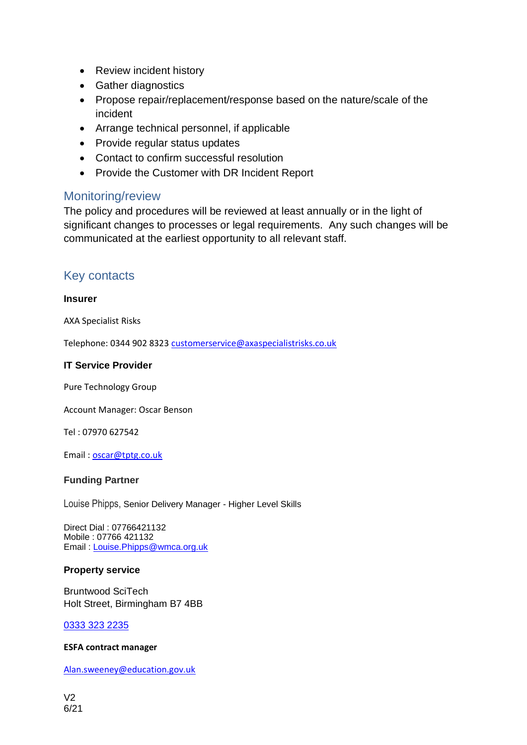- Review incident history
- Gather diagnostics
- Propose repair/replacement/response based on the nature/scale of the incident
- Arrange technical personnel, if applicable
- Provide regular status updates
- Contact to confirm successful resolution
- Provide the Customer with DR Incident Report

## Monitoring/review

The policy and procedures will be reviewed at least annually or in the light of significant changes to processes or legal requirements. Any such changes will be communicated at the earliest opportunity to all relevant staff.

## Key contacts

#### **Insurer**

AXA Specialist Risks

Telephone: 0344 902 832[3 customerservice@axaspecialistrisks.co.uk](mailto:customerservice@axaspecialistrisks.co.uk)

#### **IT Service Provider**

Pure Technology Group

Account Manager: Oscar Benson

Tel : 07970 627542

Email : [oscar@tptg.co.uk](mailto:oscar@tptg.co.uk)

#### **Funding Partner**

Louise Phipps, Senior Delivery Manager - Higher Level Skills

Direct Dial : 07766421132 Mobile : 07766 421132 Email : [Louise.Phipps@wmca.org.uk](mailto:Louise.Phipps@wmca.org.uk)

#### **Property service**

Bruntwood SciTech Holt Street, Birmingham B7 4BB

[0333 323 2235](tel:03333232235)

#### **ESFA contract manager**

[Alan.sweeney@education.gov.uk](mailto:Alan.sweeney@education.gov.uk)